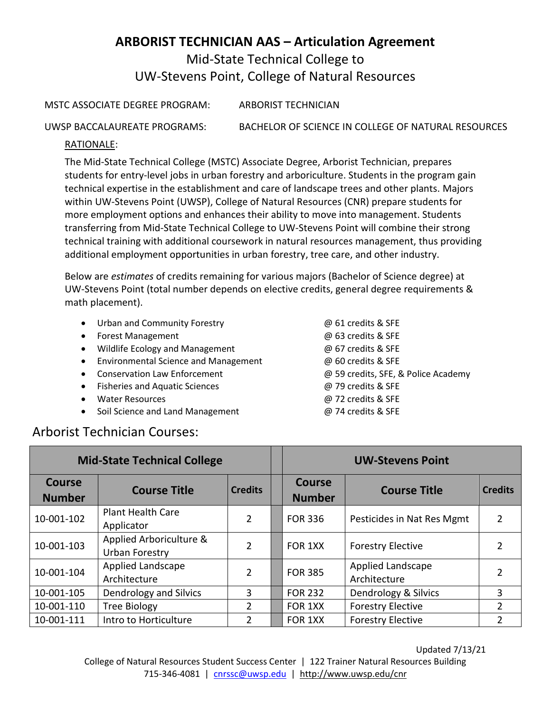# **ARBORIST TECHNICIAN AAS – Articulation Agreement** Mid-State Technical College to UW-Stevens Point, College of Natural Resources

MSTC ASSOCIATE DEGREE PROGRAM: ARBORIST TECHNICIAN

UWSP BACCALAUREATE PROGRAMS: BACHELOR OF SCIENCE IN COLLEGE OF NATURAL RESOURCES

#### RATIONALE:

The Mid-State Technical College (MSTC) Associate Degree, Arborist Technician, prepares students for entry-level jobs in urban forestry and arboriculture. Students in the program gain technical expertise in the establishment and care of landscape trees and other plants. Majors within UW-Stevens Point (UWSP), College of Natural Resources (CNR) prepare students for more employment options and enhances their ability to move into management. Students transferring from Mid-State Technical College to UW-Stevens Point will combine their strong technical training with additional coursework in natural resources management, thus providing additional employment opportunities in urban forestry, tree care, and other industry.

Below are *estimates* of credits remaining for various majors (Bachelor of Science degree) at UW-Stevens Point (total number depends on elective credits, general degree requirements & math placement).

- Urban and Community Forestry @ 61 credits & SFE
- Forest Management @ 63 credits & SFE
- Wildlife Ecology and Management @ 67 credits & SFE
- Environmental Science and Management  $\oslash$  60 credits & SFE
- 
- Fisheries and Aquatic Sciences @ 79 credits & SFE
- Water Resources @ 72 credits & SFE
- Soil Science and Land Management @ 74 credits & SFE
- Conservation Law Enforcement  $\qquad \qquad \textcircled{B}$  59 credits, SFE, & Police Academy

### Arborist Technician Courses:

| <b>Mid-State Technical College</b> |                                           |                | <b>UW-Stevens Point</b>        |                                   |                |
|------------------------------------|-------------------------------------------|----------------|--------------------------------|-----------------------------------|----------------|
| <b>Course</b><br><b>Number</b>     | <b>Course Title</b>                       | <b>Credits</b> | <b>Course</b><br><b>Number</b> | <b>Course Title</b>               | <b>Credits</b> |
| 10-001-102                         | <b>Plant Health Care</b><br>Applicator    | $\overline{2}$ | <b>FOR 336</b>                 | Pesticides in Nat Res Mgmt        | 2              |
| 10-001-103                         | Applied Arboriculture &<br>Urban Forestry | $\overline{2}$ | FOR 1XX                        | <b>Forestry Elective</b>          |                |
| 10-001-104                         | Applied Landscape<br>Architecture         | $\overline{2}$ | <b>FOR 385</b>                 | Applied Landscape<br>Architecture | 2              |
| 10-001-105                         | Dendrology and Silvics                    | 3              | <b>FOR 232</b>                 | Dendrology & Silvics              | 3              |
| 10-001-110                         | <b>Tree Biology</b>                       | $\mathcal{P}$  | FOR 1XX                        | <b>Forestry Elective</b>          | $\overline{2}$ |
| 10-001-111                         | Intro to Horticulture                     | $\mathfrak{p}$ | FOR 1XX                        | <b>Forestry Elective</b>          | 2              |

College of Natural Resources Student Success Center | 122 Trainer Natural Resources Building 715-346-4081 | [cnrssc@uwsp.edu](mailto:cnrssc@uwsp.edu) | http://www.uwsp.edu/cnr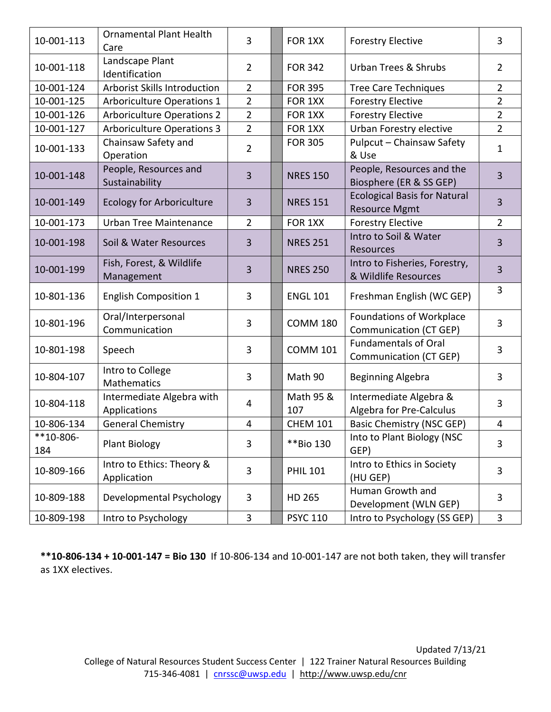| 10-001-113         | <b>Ornamental Plant Health</b><br>Care    | 3              | FOR 1XX          | <b>Forestry Elective</b>                                    | $\overline{3}$ |
|--------------------|-------------------------------------------|----------------|------------------|-------------------------------------------------------------|----------------|
| 10-001-118         | Landscape Plant<br>Identification         | $\overline{2}$ | <b>FOR 342</b>   | <b>Urban Trees &amp; Shrubs</b>                             | $\overline{2}$ |
| 10-001-124         | Arborist Skills Introduction              | $\overline{2}$ | <b>FOR 395</b>   | <b>Tree Care Techniques</b>                                 | $\overline{2}$ |
| 10-001-125         | <b>Arboriculture Operations 1</b>         | $\overline{2}$ | FOR 1XX          | <b>Forestry Elective</b>                                    | $\overline{2}$ |
| 10-001-126         | <b>Arboriculture Operations 2</b>         | $\overline{2}$ | FOR 1XX          | <b>Forestry Elective</b>                                    | 2              |
| 10-001-127         | <b>Arboriculture Operations 3</b>         | $\overline{2}$ | FOR 1XX          | Urban Forestry elective                                     | $\overline{2}$ |
| 10-001-133         | Chainsaw Safety and<br>Operation          | $\overline{2}$ | <b>FOR 305</b>   | Pulpcut - Chainsaw Safety<br>& Use                          | $\mathbf{1}$   |
| 10-001-148         | People, Resources and<br>Sustainability   | 3              | <b>NRES 150</b>  | People, Resources and the<br>Biosphere (ER & SS GEP)        | 3              |
| 10-001-149         | <b>Ecology for Arboriculture</b>          | 3              | <b>NRES 151</b>  | <b>Ecological Basis for Natural</b><br><b>Resource Mgmt</b> | $\overline{3}$ |
| 10-001-173         | Urban Tree Maintenance                    | $\overline{2}$ | FOR 1XX          | <b>Forestry Elective</b>                                    | $\overline{2}$ |
| 10-001-198         | Soil & Water Resources                    | 3              | <b>NRES 251</b>  | Intro to Soil & Water<br>Resources                          | 3              |
| 10-001-199         | Fish, Forest, & Wildlife<br>Management    | $\overline{3}$ | <b>NRES 250</b>  | Intro to Fisheries, Forestry,<br>& Wildlife Resources       | $\overline{3}$ |
| 10-801-136         | <b>English Composition 1</b>              | 3              | <b>ENGL 101</b>  | Freshman English (WC GEP)                                   | 3              |
| 10-801-196         | Oral/Interpersonal<br>Communication       | 3              | <b>COMM 180</b>  | <b>Foundations of Workplace</b><br>Communication (CT GEP)   | 3              |
| 10-801-198         | Speech                                    | 3              | <b>COMM 101</b>  | <b>Fundamentals of Oral</b><br>Communication (CT GEP)       | 3              |
| 10-804-107         | Intro to College<br><b>Mathematics</b>    | 3              | Math 90          | <b>Beginning Algebra</b>                                    | 3              |
| 10-804-118         | Intermediate Algebra with<br>Applications | $\overline{4}$ | Math 95 &<br>107 | Intermediate Algebra &<br>Algebra for Pre-Calculus          | 3              |
| 10-806-134         | <b>General Chemistry</b>                  | $\overline{4}$ | <b>CHEM 101</b>  | <b>Basic Chemistry (NSC GEP)</b>                            | $\overline{4}$ |
| $**10-806-$<br>184 | <b>Plant Biology</b>                      | 3              | **Bio 130        | Into to Plant Biology (NSC<br>GEP)                          | 3              |
| 10-809-166         | Intro to Ethics: Theory &<br>Application  | 3              | <b>PHIL 101</b>  | Intro to Ethics in Society<br>(HU GEP)                      | 3              |
| 10-809-188         | Developmental Psychology                  | 3              | HD 265           | Human Growth and<br>Development (WLN GEP)                   | 3              |
| 10-809-198         | Intro to Psychology                       | 3              | <b>PSYC 110</b>  | Intro to Psychology (SS GEP)                                | 3              |

**\*\*10-806-134 + 10-001-147 = Bio 130** If 10-806-134 and 10-001-147 are not both taken, they will transfer as 1XX electives.